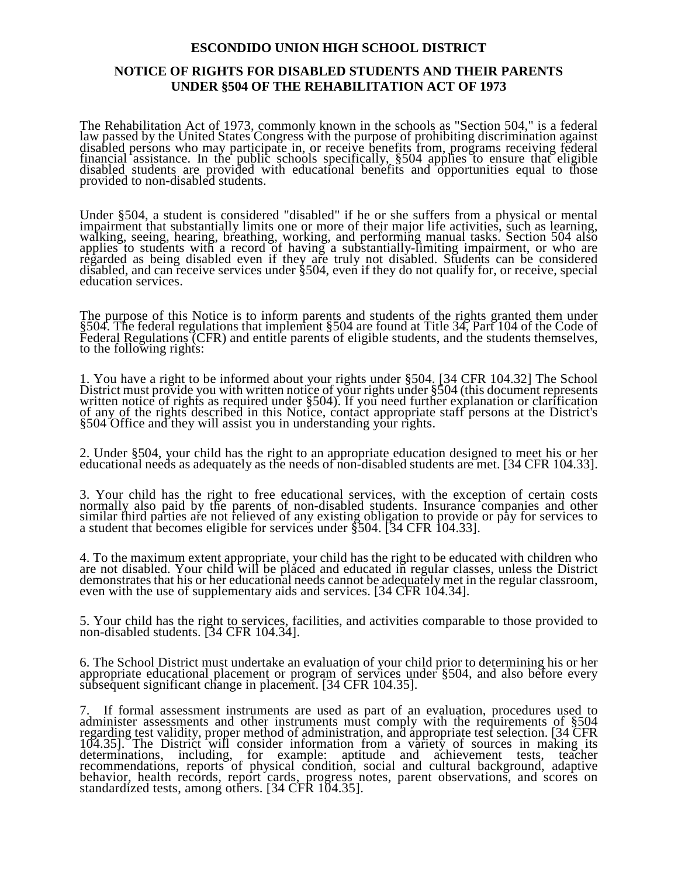## **ESCONDIDO UNION HIGH SCHOOL DISTRICT**

## **NOTICE OF RIGHTS FOR DISABLED STUDENTS AND THEIR PARENTS UNDER §504 OF THE REHABILITATION ACT OF 1973**

The Rehabilitation Act of 1973, commonly known in the schools as "Section 504," is a federal law passed by the United States Congress with the purpose of prohibiting discrimination against disabled persons who may participate in, or receive benefits from, programs receiving federal financial assistance. In the public schools specifically, §504 applies to ensure that eligible disabled students are provided with educational benefits and opportunities equal to those provided to non-disabled students.

Under §504, a student is considered "disabled" if he or she suffers from a physical or mental impairment that substantially limits one or more of their major life activities, such as learning, walking, seeing, hearing, breathing, working, and performing manual tasks. Section 504 also applies to students with a record of having a substantially-limiting impairment, or who are regarded as being disabled even if they are truly not disabled. Students can be considered disabled, and can receive services under §504, even if they do not qualify for, or receive, special education services.

The purpose of this Notice is to inform parents and students of the rights granted them under §504. The federal regulations that implement §504 are found at Title 34, Part 104 of the Code of Federal Regulations (CFR) and entitle parents of eligible students, and the students themselves, to the following rights:

1. You have a right to be informed about your rights under §504. [34 CFR 104.32] The School District must provide you with written notice of your rights under §504 (this document represents written notice of rights as required under §504). If you need further explanation or clarification<br>of any of the rights described in this Notice, contact appropriate staff persons at the District's §504 Office and they will assist you in understanding your rights.

2. Under §504, your child has the right to an appropriate education designed to meet his or her educational needs as adequately as the needs of non-disabled students are met. [34 CFR 104.33].

3. Your child has the right to free educational services, with the exception of certain costs normally also paid by the parents of non-disabled students. Insurance companies and other similar third parties are not relieved of any existing obligation to provide or pay for services to a student that becomes eligible for services under §504. [34 CFR 104.33].

4. To the maximum extent appropriate, your child has the right to be educated with children who are not disabled. Your child will be placed and educated in regular classes, unless the District demonstrates that his or her educational needs cannot be adequately met in the regular classroom, even with the use of supplementary aids and services. [34 CFR 104.34].

5. Your child has the right to services, facilities, and activities comparable to those provided to non-disabled students. [34 CFR 104.34].

6. The School District must undertake an evaluation of your child prior to determining his or her appropriate educational placement or program of services under §504, and also before every subsequent significant change in placement. [34 CFR 104.35].

7. If formal assessment instruments are used as part of an evaluation, procedures used to administer assessments and other instruments must comply with the requirements of §504 regarding test validity, proper method of administration, and appropriate test selection. [34 CFR 104.35]. The District will consider information from a variety of sources in making its determinations, including, for example: aptitude and achievement tests, teacher recommendations, reports of physical condition, social and cultural background, adaptive behavior, health records, report cards, progress notes, parent observations, and scores on standardized tests, among others. [34 CFR 104.35].